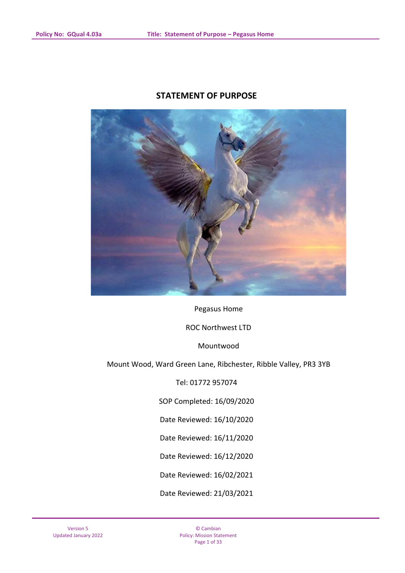# **STATEMENT OF PURPOSE**



Pegasus Home

ROC Northwest LTD

Mountwood

Mount Wood, Ward Green Lane, Ribchester, Ribble Valley, PR3 3YB

Tel: 01772 957074

SOP Completed: 16/09/2020

Date Reviewed: 16/10/2020

Date Reviewed: 16/11/2020

Date Reviewed: 16/12/2020

Date Reviewed: 16/02/2021

Date Reviewed: 21/03/2021

© Cambian Policy: Mission Statement Page 1 of 33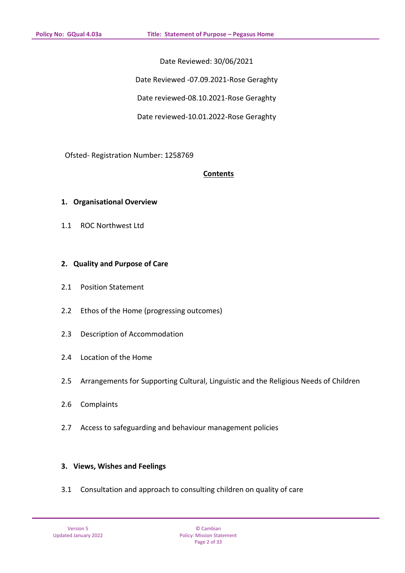Date Reviewed: 30/06/2021

Date Reviewed -07.09.2021-Rose Geraghty

Date reviewed-08.10.2021-Rose Geraghty

Date reviewed-10.01.2022-Rose Geraghty

Ofsted- Registration Number: 1258769

### **Contents**

### **1. Organisational Overview**

1.1 ROC Northwest Ltd

### **2. Quality and Purpose of Care**

- 2.1 Position Statement
- 2.2 Ethos of the Home (progressing outcomes)
- 2.3 Description of Accommodation
- 2.4 Location of the Home
- 2.5 Arrangements for Supporting Cultural, Linguistic and the Religious Needs of Children
- 2.6 Complaints
- 2.7 Access to safeguarding and behaviour management policies

# **3. Views, Wishes and Feelings**

3.1 Consultation and approach to consulting children on quality of care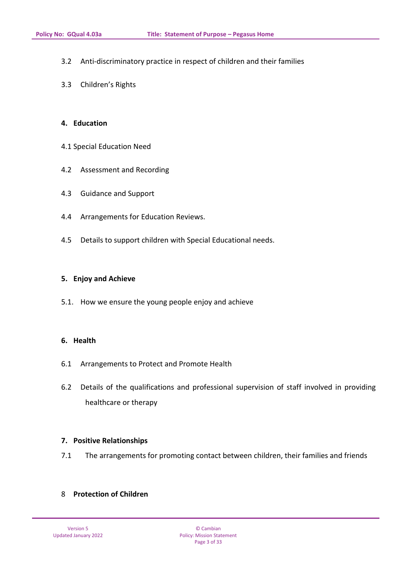- 3.2 Anti-discriminatory practice in respect of children and their families
- 3.3 Children's Rights

### **4. Education**

- 4.1 Special Education Need
- 4.2 Assessment and Recording
- 4.3 Guidance and Support
- 4.4 Arrangements for Education Reviews.
- 4.5 Details to support children with Special Educational needs.

### **5. Enjoy and Achieve**

5.1. How we ensure the young people enjoy and achieve

### **6. Health**

- 6.1 Arrangements to Protect and Promote Health
- 6.2 Details of the qualifications and professional supervision of staff involved in providing healthcare or therapy

### **7. Positive Relationships**

7.1 The arrangements for promoting contact between children, their families and friends

# 8 **Protection of Children**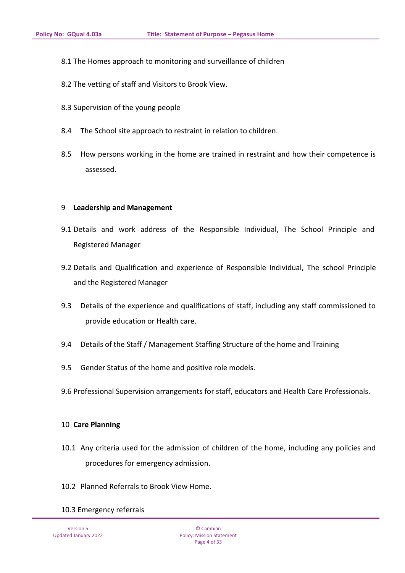- 8.1 The Homes approach to monitoring and surveillance of children
- 8.2 The vetting of staff and Visitors to Brook View.
- 8.3 Supervision of the young people
- 8.4 The School site approach to restraint in relation to children.
- 8.5 How persons working in the home are trained in restraint and how their competence is assessed.

#### 9 **Leadership and Management**

- 9.1 Details and work address of the Responsible Individual, The School Principle and Registered Manager
- 9.2 Details and Qualification and experience of Responsible Individual, The school Principle and the Registered Manager
- 9.3 Details of the experience and qualifications of staff, including any staff commissioned to provide education or Health care.
- 9.4 Details of the Staff / Management Staffing Structure of the home and Training
- 9.5 Gender Status of the home and positive role models.
- 9.6 Professional Supervision arrangements for staff, educators and Health Care Professionals.

### 10 **Care Planning**

- 10.1 Any criteria used for the admission of children of the home, including any policies and procedures for emergency admission.
- 10.2 Planned Referrals to Brook View Home.

### 10.3 Emergency referrals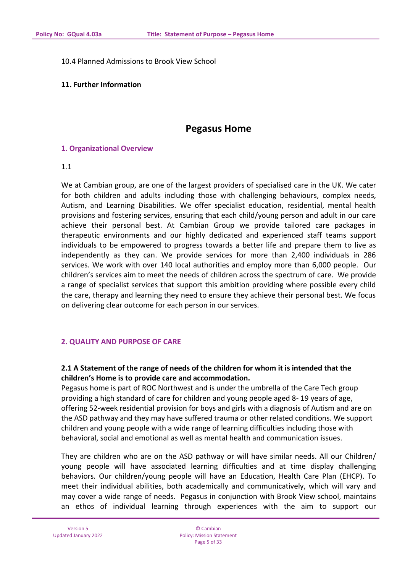10.4 Planned Admissions to Brook View School

### **11. Further Information**

# **Pegasus Home**

### **1. Organizational Overview**

### 1.1

We at Cambian group, are one of the largest providers of specialised care in the UK. We cater for both children and adults including those with challenging behaviours, complex needs, Autism, and Learning Disabilities. We offer specialist education, residential, mental health provisions and fostering services, ensuring that each child/young person and adult in our care achieve their personal best. At Cambian Group we provide tailored care packages in therapeutic environments and our highly dedicated and experienced staff teams support individuals to be empowered to progress towards a better life and prepare them to live as independently as they can. We provide services for more than 2,400 individuals in 286 services. We work with over 140 local authorities and employ more than 6,000 people. Our children's services aim to meet the needs of children across the spectrum of care. We provide a range of specialist services that support this ambition providing where possible every child the care, therapy and learning they need to ensure they achieve their personal best. We focus on delivering clear outcome for each person in our services.

# **2. QUALITY AND PURPOSE OF CARE**

# **2.1 A Statement of the range of needs of the children for whom it is intended that the children's Home is to provide care and accommodation.**

Pegasus home is part of ROC Northwest and is under the umbrella of the Care Tech group providing a high standard of care for children and young people aged 8- 19 years of age, offering 52-week residential provision for boys and girls with a diagnosis of Autism and are on the ASD pathway and they may have suffered trauma or other related conditions. We support children and young people with a wide range of learning difficulties including those with behavioral, social and emotional as well as mental health and communication issues.

They are children who are on the ASD pathway or will have similar needs. All our Children/ young people will have associated learning difficulties and at time display challenging behaviors. Our children/young people will have an Education, Health Care Plan (EHCP). To meet their individual abilities, both academically and communicatively, which will vary and may cover a wide range of needs. Pegasus in conjunction with Brook View school, maintains an ethos of individual learning through experiences with the aim to support our

© Cambian Policy: Mission Statement Page 5 of 33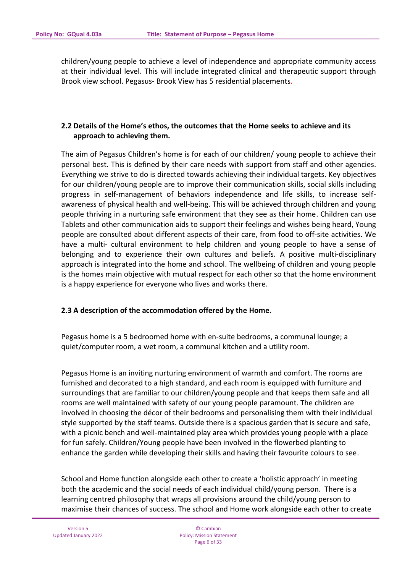children/young people to achieve a level of independence and appropriate community access at their individual level. This will include integrated clinical and therapeutic support through Brook view school. Pegasus- Brook View has 5 residential placements.

# **2.2 Details of the Home's ethos, the outcomes that the Home seeks to achieve and its approach to achieving them.**

The aim of Pegasus Children's home is for each of our children/ young people to achieve their personal best. This is defined by their care needs with support from staff and other agencies. Everything we strive to do is directed towards achieving their individual targets. Key objectives for our children/young people are to improve their communication skills, social skills including progress in self-management of behaviors independence and life skills, to increase selfawareness of physical health and well-being. This will be achieved through children and young people thriving in a nurturing safe environment that they see as their home. Children can use Tablets and other communication aids to support their feelings and wishes being heard, Young people are consulted about different aspects of their care, from food to off-site activities. We have a multi- cultural environment to help children and young people to have a sense of belonging and to experience their own cultures and beliefs. A positive multi-disciplinary approach is integrated into the home and school. The wellbeing of children and young people is the homes main objective with mutual respect for each other so that the home environment is a happy experience for everyone who lives and works there.

### **2.3 A description of the accommodation offered by the Home.**

Pegasus home is a 5 bedroomed home with en-suite bedrooms, a communal lounge; a quiet/computer room, a wet room, a communal kitchen and a utility room.

Pegasus Home is an inviting nurturing environment of warmth and comfort. The rooms are furnished and decorated to a high standard, and each room is equipped with furniture and surroundings that are familiar to our children/young people and that keeps them safe and all rooms are well maintained with safety of our young people paramount. The children are involved in choosing the décor of their bedrooms and personalising them with their individual style supported by the staff teams. Outside there is a spacious garden that is secure and safe, with a picnic bench and well-maintained play area which provides young people with a place for fun safely. Children/Young people have been involved in the flowerbed planting to enhance the garden while developing their skills and having their favourite colours to see.

School and Home function alongside each other to create a 'holistic approach' in meeting both the academic and the social needs of each individual child/young person. There is a learning centred philosophy that wraps all provisions around the child/young person to maximise their chances of success. The school and Home work alongside each other to create

© Cambian Policy: Mission Statement Page 6 of 33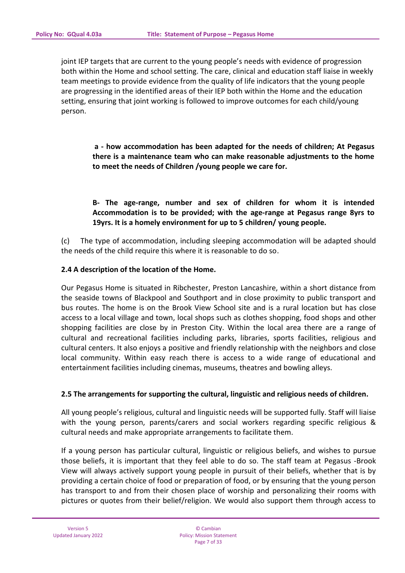joint IEP targets that are current to the young people's needs with evidence of progression both within the Home and school setting. The care, clinical and education staff liaise in weekly team meetings to provide evidence from the quality of life indicators that the young people are progressing in the identified areas of their IEP both within the Home and the education setting, ensuring that joint working is followed to improve outcomes for each child/young person.

**a - how accommodation has been adapted for the needs of children; At Pegasus there is a maintenance team who can make reasonable adjustments to the home to meet the needs of Children /young people we care for.**

**B- The age-range, number and sex of children for whom it is intended Accommodation is to be provided; with the age-range at Pegasus range 8yrs to 19yrs. It is a homely environment for up to 5 children/ young people.**

(c) The type of accommodation, including sleeping accommodation will be adapted should the needs of the child require this where it is reasonable to do so.

### **2.4 A description of the location of the Home.**

Our Pegasus Home is situated in Ribchester, Preston Lancashire, within a short distance from the seaside towns of Blackpool and Southport and in close proximity to public transport and bus routes. The home is on the Brook View School site and is a rural location but has close access to a local village and town, local shops such as clothes shopping, food shops and other shopping facilities are close by in Preston City. Within the local area there are a range of cultural and recreational facilities including parks, libraries, sports facilities, religious and cultural centers. It also enjoys a positive and friendly relationship with the neighbors and close local community. Within easy reach there is access to a wide range of educational and entertainment facilities including cinemas, museums, theatres and bowling alleys.

### **2.5 The arrangements for supporting the cultural, linguistic and religious needs of children.**

All young people's religious, cultural and linguistic needs will be supported fully. Staff will liaise with the young person, parents/carers and social workers regarding specific religious & cultural needs and make appropriate arrangements to facilitate them.

If a young person has particular cultural, linguistic or religious beliefs, and wishes to pursue those beliefs, it is important that they feel able to do so. The staff team at Pegasus -Brook View will always actively support young people in pursuit of their beliefs, whether that is by providing a certain choice of food or preparation of food, or by ensuring that the young person has transport to and from their chosen place of worship and personalizing their rooms with pictures or quotes from their belief/religion. We would also support them through access to

© Cambian Policy: Mission Statement Page 7 of 33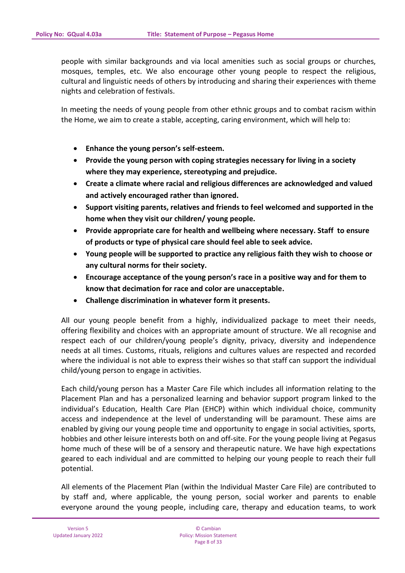people with similar backgrounds and via local amenities such as social groups or churches, mosques, temples, etc. We also encourage other young people to respect the religious, cultural and linguistic needs of others by introducing and sharing their experiences with theme nights and celebration of festivals.

In meeting the needs of young people from other ethnic groups and to combat racism within the Home, we aim to create a stable, accepting, caring environment, which will help to:

- **Enhance the young person's self-esteem.**
- **Provide the young person with coping strategies necessary for living in a society where they may experience, stereotyping and prejudice.**
- **Create a climate where racial and religious differences are acknowledged and valued and actively encouraged rather than ignored.**
- **Support visiting parents, relatives and friends to feel welcomed and supported in the home when they visit our children/ young people.**
- **Provide appropriate care for health and wellbeing where necessary. Staff to ensure of products or type of physical care should feel able to seek advice.**
- **Young people will be supported to practice any religious faith they wish to choose or any cultural norms for their society.**
- **Encourage acceptance of the young person's race in a positive way and for them to know that decimation for race and color are unacceptable.**
- **Challenge discrimination in whatever form it presents.**

All our young people benefit from a highly, individualized package to meet their needs, offering flexibility and choices with an appropriate amount of structure. We all recognise and respect each of our children/young people's dignity, privacy, diversity and independence needs at all times. Customs, rituals, religions and cultures values are respected and recorded where the individual is not able to express their wishes so that staff can support the individual child/young person to engage in activities.

Each child/young person has a Master Care File which includes all information relating to the Placement Plan and has a personalized learning and behavior support program linked to the individual's Education, Health Care Plan (EHCP) within which individual choice, community access and independence at the level of understanding will be paramount. These aims are enabled by giving our young people time and opportunity to engage in social activities, sports, hobbies and other leisure interests both on and off-site. For the young people living at Pegasus home much of these will be of a sensory and therapeutic nature. We have high expectations geared to each individual and are committed to helping our young people to reach their full potential.

All elements of the Placement Plan (within the Individual Master Care File) are contributed to by staff and, where applicable, the young person, social worker and parents to enable everyone around the young people, including care, therapy and education teams, to work

© Cambian Policy: Mission Statement Page 8 of 33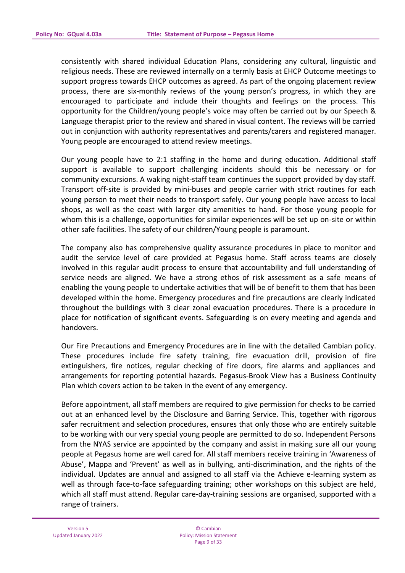consistently with shared individual Education Plans, considering any cultural, linguistic and religious needs. These are reviewed internally on a termly basis at EHCP Outcome meetings to support progress towards EHCP outcomes as agreed. As part of the ongoing placement review process, there are six-monthly reviews of the young person's progress, in which they are encouraged to participate and include their thoughts and feelings on the process. This opportunity for the Children/young people's voice may often be carried out by our Speech & Language therapist prior to the review and shared in visual content. The reviews will be carried out in conjunction with authority representatives and parents/carers and registered manager. Young people are encouraged to attend review meetings.

Our young people have to 2:1 staffing in the home and during education. Additional staff support is available to support challenging incidents should this be necessary or for community excursions. A waking night-staff team continues the support provided by day staff. Transport off-site is provided by mini-buses and people carrier with strict routines for each young person to meet their needs to transport safely. Our young people have access to local shops, as well as the coast with larger city amenities to hand. For those young people for whom this is a challenge, opportunities for similar experiences will be set up on-site or within other safe facilities. The safety of our children/Young people is paramount.

The company also has comprehensive quality assurance procedures in place to monitor and audit the service level of care provided at Pegasus home. Staff across teams are closely involved in this regular audit process to ensure that accountability and full understanding of service needs are aligned. We have a strong ethos of risk assessment as a safe means of enabling the young people to undertake activities that will be of benefit to them that has been developed within the home. Emergency procedures and fire precautions are clearly indicated throughout the buildings with 3 clear zonal evacuation procedures. There is a procedure in place for notification of significant events. Safeguarding is on every meeting and agenda and handovers.

Our Fire Precautions and Emergency Procedures are in line with the detailed Cambian policy. These procedures include fire safety training, fire evacuation drill, provision of fire extinguishers, fire notices, regular checking of fire doors, fire alarms and appliances and arrangements for reporting potential hazards. Pegasus-Brook View has a Business Continuity Plan which covers action to be taken in the event of any emergency.

Before appointment, all staff members are required to give permission for checks to be carried out at an enhanced level by the Disclosure and Barring Service. This, together with rigorous safer recruitment and selection procedures, ensures that only those who are entirely suitable to be working with our very special young people are permitted to do so. Independent Persons from the NYAS service are appointed by the company and assist in making sure all our young people at Pegasus home are well cared for. All staff members receive training in 'Awareness of Abuse', Mappa and 'Prevent' as well as in bullying, anti-discrimination, and the rights of the individual. Updates are annual and assigned to all staff via the Achieve e-learning system as well as through face-to-face safeguarding training; other workshops on this subject are held, which all staff must attend. Regular care-day-training sessions are organised, supported with a range of trainers.

© Cambian Policy: Mission Statement Page 9 of 33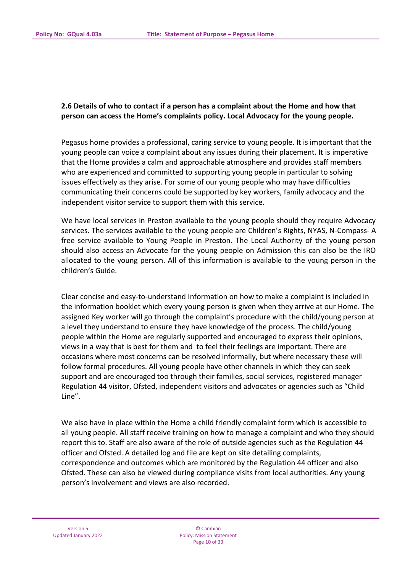# **2.6 Details of who to contact if a person has a complaint about the Home and how that person can access the Home's complaints policy. Local Advocacy for the young people.**

Pegasus home provides a professional, caring service to young people. It is important that the young people can voice a complaint about any issues during their placement. It is imperative that the Home provides a calm and approachable atmosphere and provides staff members who are experienced and committed to supporting young people in particular to solving issues effectively as they arise. For some of our young people who may have difficulties communicating their concerns could be supported by key workers, family advocacy and the independent visitor service to support them with this service.

We have local services in Preston available to the young people should they require Advocacy services. The services available to the young people are Children's Rights, NYAS, N-Compass- A free service available to Young People in Preston. The Local Authority of the young person should also access an Advocate for the young people on Admission this can also be the IRO allocated to the young person. All of this information is available to the young person in the children's Guide.

Clear concise and easy-to-understand Information on how to make a complaint is included in the information booklet which every young person is given when they arrive at our Home. The assigned Key worker will go through the complaint's procedure with the child/young person at a level they understand to ensure they have knowledge of the process. The child/young people within the Home are regularly supported and encouraged to express their opinions, views in a way that is best for them and to feel their feelings are important. There are occasions where most concerns can be resolved informally, but where necessary these will follow formal procedures. All young people have other channels in which they can seek support and are encouraged too through their families, social services, registered manager Regulation 44 visitor, Ofsted, independent visitors and advocates or agencies such as "Child Line".

We also have in place within the Home a child friendly complaint form which is accessible to all young people. All staff receive training on how to manage a complaint and who they should report this to. Staff are also aware of the role of outside agencies such as the Regulation 44 officer and Ofsted. A detailed log and file are kept on site detailing complaints, correspondence and outcomes which are monitored by the Regulation 44 officer and also Ofsted. These can also be viewed during compliance visits from local authorities. Any young person's involvement and views are also recorded.

© Cambian Policy: Mission Statement Page 10 of 33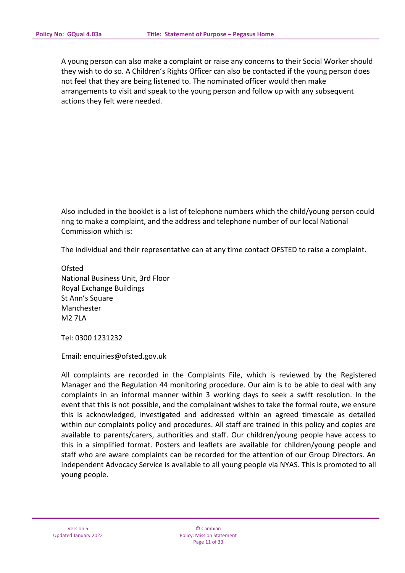A young person can also make a complaint or raise any concerns to their Social Worker should they wish to do so. A Children's Rights Officer can also be contacted if the young person does not feel that they are being listened to. The nominated officer would then make arrangements to visit and speak to the young person and follow up with any subsequent actions they felt were needed.

Also included in the booklet is a list of telephone numbers which the child/young person could ring to make a complaint, and the address and telephone number of our local National Commission which is:

The individual and their representative can at any time contact OFSTED to raise a complaint.

**Ofsted** National Business Unit, 3rd Floor Royal Exchange Buildings St Ann's Square Manchester M2 7LA

Tel: 0300 1231232

Email: enquiries@ofsted.gov.uk

All complaints are recorded in the Complaints File, which is reviewed by the Registered Manager and the Regulation 44 monitoring procedure. Our aim is to be able to deal with any complaints in an informal manner within 3 working days to seek a swift resolution. In the event that this is not possible, and the complainant wishes to take the formal route, we ensure this is acknowledged, investigated and addressed within an agreed timescale as detailed within our complaints policy and procedures. All staff are trained in this policy and copies are available to parents/carers, authorities and staff. Our children/young people have access to this in a simplified format. Posters and leaflets are available for children/young people and staff who are aware complaints can be recorded for the attention of our Group Directors. An independent Advocacy Service is available to all young people via NYAS. This is promoted to all young people.

© Cambian Policy: Mission Statement Page 11 of 33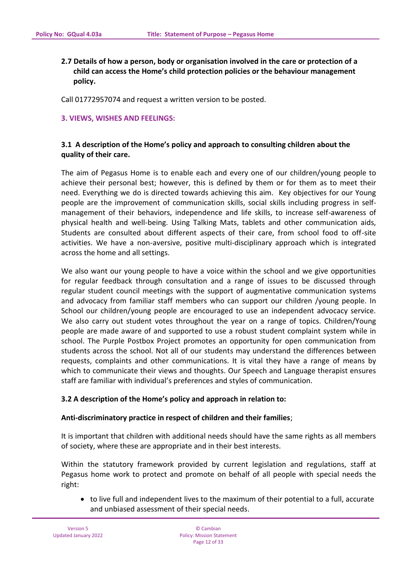**2.7 Details of how a person, body or organisation involved in the care or protection of a child can access the Home's child protection policies or the behaviour management policy.**

Call 01772957074 and request a written version to be posted.

### **3. VIEWS, WISHES AND FEELINGS:**

# **3.1 A description of the Home's policy and approach to consulting children about the quality of their care.**

The aim of Pegasus Home is to enable each and every one of our children/young people to achieve their personal best; however, this is defined by them or for them as to meet their need. Everything we do is directed towards achieving this aim. Key objectives for our Young people are the improvement of communication skills, social skills including progress in selfmanagement of their behaviors, independence and life skills, to increase self-awareness of physical health and well-being. Using Talking Mats, tablets and other communication aids, Students are consulted about different aspects of their care, from school food to off-site activities. We have a non-aversive, positive multi-disciplinary approach which is integrated across the home and all settings.

We also want our young people to have a voice within the school and we give opportunities for regular feedback through consultation and a range of issues to be discussed through regular student council meetings with the support of augmentative communication systems and advocacy from familiar staff members who can support our children /young people. In School our children/young people are encouraged to use an independent advocacy service. We also carry out student votes throughout the year on a range of topics. Children/Young people are made aware of and supported to use a robust student complaint system while in school. The Purple Postbox Project promotes an opportunity for open communication from students across the school. Not all of our students may understand the differences between requests, complaints and other communications. It is vital they have a range of means by which to communicate their views and thoughts. Our Speech and Language therapist ensures staff are familiar with individual's preferences and styles of communication.

### **3.2 A description of the Home's policy and approach in relation to:**

### **Anti-discriminatory practice in respect of children and their families**;

It is important that children with additional needs should have the same rights as all members of society, where these are appropriate and in their best interests.

Within the statutory framework provided by current legislation and regulations, staff at Pegasus home work to protect and promote on behalf of all people with special needs the right:

• to live full and independent lives to the maximum of their potential to a full, accurate and unbiased assessment of their special needs.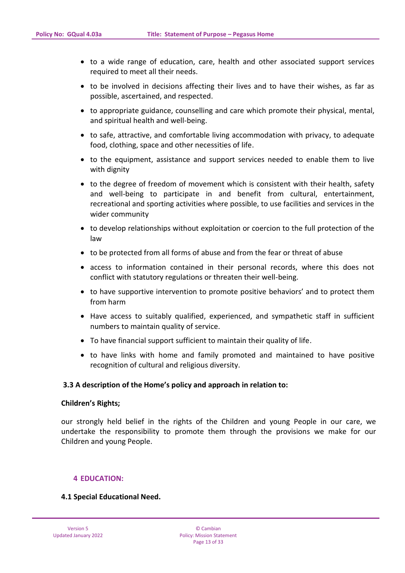- to a wide range of education, care, health and other associated support services required to meet all their needs.
- to be involved in decisions affecting their lives and to have their wishes, as far as possible, ascertained, and respected.
- to appropriate guidance, counselling and care which promote their physical, mental, and spiritual health and well-being.
- to safe, attractive, and comfortable living accommodation with privacy, to adequate food, clothing, space and other necessities of life.
- to the equipment, assistance and support services needed to enable them to live with dignity
- to the degree of freedom of movement which is consistent with their health, safety and well-being to participate in and benefit from cultural, entertainment, recreational and sporting activities where possible, to use facilities and services in the wider community
- to develop relationships without exploitation or coercion to the full protection of the law
- to be protected from all forms of abuse and from the fear or threat of abuse
- access to information contained in their personal records, where this does not conflict with statutory regulations or threaten their well-being.
- to have supportive intervention to promote positive behaviors' and to protect them from harm
- Have access to suitably qualified, experienced, and sympathetic staff in sufficient numbers to maintain quality of service.
- To have financial support sufficient to maintain their quality of life.
- to have links with home and family promoted and maintained to have positive recognition of cultural and religious diversity.

### **3.3 A description of the Home's policy and approach in relation to:**

#### **Children's Rights;**

our strongly held belief in the rights of the Children and young People in our care, we undertake the responsibility to promote them through the provisions we make for our Children and young People.

#### **4 EDUCATION:**

### **4.1 Special Educational Need.**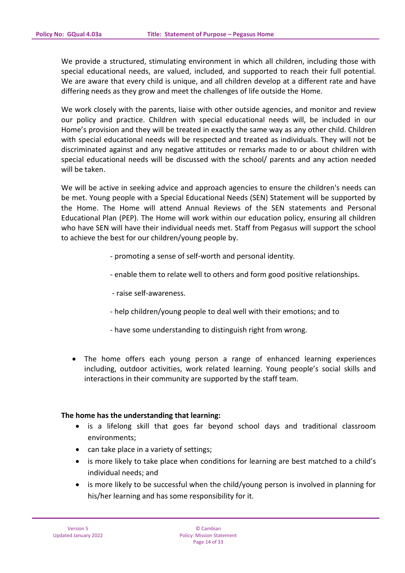We provide a structured, stimulating environment in which all children, including those with special educational needs, are valued, included, and supported to reach their full potential. We are aware that every child is unique, and all children develop at a different rate and have differing needs as they grow and meet the challenges of life outside the Home.

We work closely with the parents, liaise with other outside agencies, and monitor and review our policy and practice. Children with special educational needs will, be included in our Home's provision and they will be treated in exactly the same way as any other child. Children with special educational needs will be respected and treated as individuals. They will not be discriminated against and any negative attitudes or remarks made to or about children with special educational needs will be discussed with the school/ parents and any action needed will be taken.

We will be active in seeking advice and approach agencies to ensure the children's needs can be met. Young people with a Special Educational Needs (SEN) Statement will be supported by the Home. The Home will attend Annual Reviews of the SEN statements and Personal Educational Plan (PEP). The Home will work within our education policy, ensuring all children who have SEN will have their individual needs met. Staff from Pegasus will support the school to achieve the best for our children/young people by.

- promoting a sense of self-worth and personal identity.
- enable them to relate well to others and form good positive relationships.
- raise self-awareness.
- help children/young people to deal well with their emotions; and to
- have some understanding to distinguish right from wrong.
- The home offers each young person a range of enhanced learning experiences including, outdoor activities, work related learning. Young people's social skills and interactions in their community are supported by the staff team.

### **The home has the understanding that learning:**

- is a lifelong skill that goes far beyond school days and traditional classroom environments;
- can take place in a variety of settings;
- is more likely to take place when conditions for learning are best matched to a child's individual needs; and
- is more likely to be successful when the child/young person is involved in planning for his/her learning and has some responsibility for it.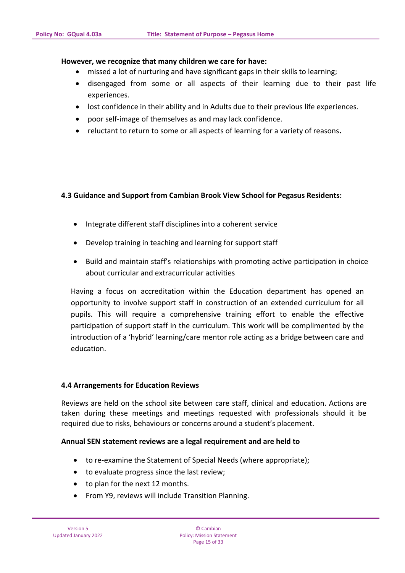### **However, we recognize that many children we care for have:**

- missed a lot of nurturing and have significant gaps in their skills to learning;
- disengaged from some or all aspects of their learning due to their past life experiences.
- lost confidence in their ability and in Adults due to their previous life experiences.
- poor self-image of themselves as and may lack confidence.
- reluctant to return to some or all aspects of learning for a variety of reasons**.**

# **4.3 Guidance and Support from Cambian Brook View School for Pegasus Residents:**

- Integrate different staff disciplines into a coherent service
- Develop training in teaching and learning for support staff
- Build and maintain staff's relationships with promoting active participation in choice about curricular and extracurricular activities

Having a focus on accreditation within the Education department has opened an opportunity to involve support staff in construction of an extended curriculum for all pupils. This will require a comprehensive training effort to enable the effective participation of support staff in the curriculum. This work will be complimented by the introduction of a 'hybrid' learning/care mentor role acting as a bridge between care and education.

### **4.4 Arrangements for Education Reviews**

Reviews are held on the school site between care staff, clinical and education. Actions are taken during these meetings and meetings requested with professionals should it be required due to risks, behaviours or concerns around a student's placement.

### **Annual SEN statement reviews are a legal requirement and are held to**

- to re-examine the Statement of Special Needs (where appropriate);
- to evaluate progress since the last review;
- to plan for the next 12 months.
- From Y9, reviews will include Transition Planning.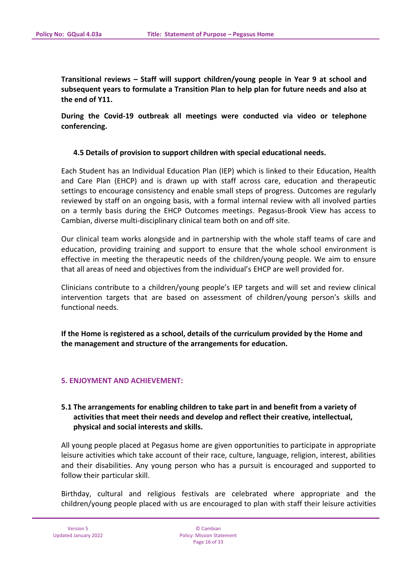**Transitional reviews – Staff will support children/young people in Year 9 at school and subsequent years to formulate a Transition Plan to help plan for future needs and also at the end of Y11.**

**During the Covid-19 outbreak all meetings were conducted via video or telephone conferencing.**

#### **4.5 Details of provision to support children with special educational needs.**

Each Student has an Individual Education Plan (IEP) which is linked to their Education, Health and Care Plan (EHCP) and is drawn up with staff across care, education and therapeutic settings to encourage consistency and enable small steps of progress. Outcomes are regularly reviewed by staff on an ongoing basis, with a formal internal review with all involved parties on a termly basis during the EHCP Outcomes meetings. Pegasus-Brook View has access to Cambian, diverse multi-disciplinary clinical team both on and off site.

Our clinical team works alongside and in partnership with the whole staff teams of care and education, providing training and support to ensure that the whole school environment is effective in meeting the therapeutic needs of the children/young people. We aim to ensure that all areas of need and objectives from the individual's EHCP are well provided for.

Clinicians contribute to a children/young people's IEP targets and will set and review clinical intervention targets that are based on assessment of children/young person's skills and functional needs.

**If the Home is registered as a school, details of the curriculum provided by the Home and the management and structure of the arrangements for education.**

#### **5. ENJOYMENT AND ACHIEVEMENT:**

# **5.1 The arrangements for enabling children to take part in and benefit from a variety of activities that meet their needs and develop and reflect their creative, intellectual, physical and social interests and skills.**

All young people placed at Pegasus home are given opportunities to participate in appropriate leisure activities which take account of their race, culture, language, religion, interest, abilities and their disabilities. Any young person who has a pursuit is encouraged and supported to follow their particular skill.

Birthday, cultural and religious festivals are celebrated where appropriate and the children/young people placed with us are encouraged to plan with staff their leisure activities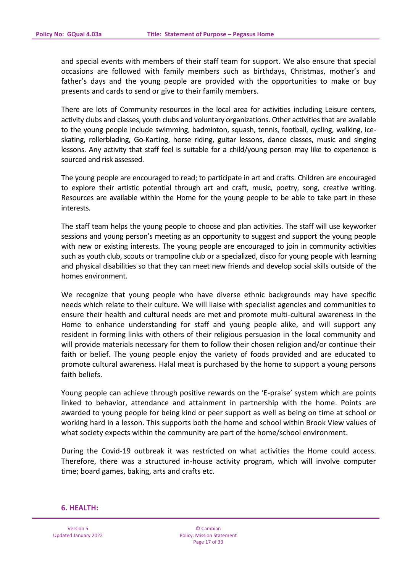and special events with members of their staff team for support. We also ensure that special occasions are followed with family members such as birthdays, Christmas, mother's and father's days and the young people are provided with the opportunities to make or buy presents and cards to send or give to their family members.

There are lots of Community resources in the local area for activities including Leisure centers, activity clubs and classes, youth clubs and voluntary organizations. Other activities that are available to the young people include swimming, badminton, squash, tennis, football, cycling, walking, iceskating, rollerblading, Go-Karting, horse riding, guitar lessons, dance classes, music and singing lessons. Any activity that staff feel is suitable for a child/young person may like to experience is sourced and risk assessed.

The young people are encouraged to read; to participate in art and crafts. Children are encouraged to explore their artistic potential through art and craft, music, poetry, song, creative writing. Resources are available within the Home for the young people to be able to take part in these interests.

The staff team helps the young people to choose and plan activities. The staff will use keyworker sessions and young person's meeting as an opportunity to suggest and support the young people with new or existing interests. The young people are encouraged to join in community activities such as youth club, scouts or trampoline club or a specialized, disco for young people with learning and physical disabilities so that they can meet new friends and develop social skills outside of the homes environment.

We recognize that young people who have diverse ethnic backgrounds may have specific needs which relate to their culture. We will liaise with specialist agencies and communities to ensure their health and cultural needs are met and promote multi-cultural awareness in the Home to enhance understanding for staff and young people alike, and will support any resident in forming links with others of their religious persuasion in the local community and will provide materials necessary for them to follow their chosen religion and/or continue their faith or belief. The young people enjoy the variety of foods provided and are educated to promote cultural awareness. Halal meat is purchased by the home to support a young persons faith beliefs.

Young people can achieve through positive rewards on the 'E-praise' system which are points linked to behavior, attendance and attainment in partnership with the home. Points are awarded to young people for being kind or peer support as well as being on time at school or working hard in a lesson. This supports both the home and school within Brook View values of what society expects within the community are part of the home/school environment.

During the Covid-19 outbreak it was restricted on what activities the Home could access. Therefore, there was a structured in-house activity program, which will involve computer time; board games, baking, arts and crafts etc.

#### **6. HEALTH:**

Version 5 Updated January 2022

© Cambian Policy: Mission Statement Page 17 of 33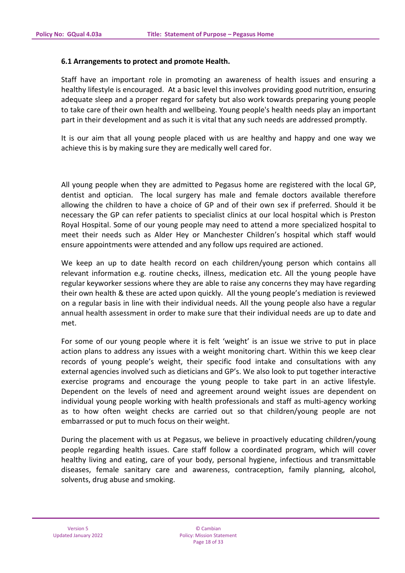### **6.1 Arrangements to protect and promote Health.**

Staff have an important role in promoting an awareness of health issues and ensuring a healthy lifestyle is encouraged. At a basic level this involves providing good nutrition, ensuring adequate sleep and a proper regard for safety but also work towards preparing young people to take care of their own health and wellbeing. Young people's health needs play an important part in their development and as such it is vital that any such needs are addressed promptly.

It is our aim that all young people placed with us are healthy and happy and one way we achieve this is by making sure they are medically well cared for.

All young people when they are admitted to Pegasus home are registered with the local GP, dentist and optician. The local surgery has male and female doctors available therefore allowing the children to have a choice of GP and of their own sex if preferred. Should it be necessary the GP can refer patients to specialist clinics at our local hospital which is Preston Royal Hospital. Some of our young people may need to attend a more specialized hospital to meet their needs such as Alder Hey or Manchester Children's hospital which staff would ensure appointments were attended and any follow ups required are actioned.

We keep an up to date health record on each children/young person which contains all relevant information e.g. routine checks, illness, medication etc. All the young people have regular keyworker sessions where they are able to raise any concerns they may have regarding their own health & these are acted upon quickly. All the young people's mediation is reviewed on a regular basis in line with their individual needs. All the young people also have a regular annual health assessment in order to make sure that their individual needs are up to date and met.

For some of our young people where it is felt 'weight' is an issue we strive to put in place action plans to address any issues with a weight monitoring chart. Within this we keep clear records of young people's weight, their specific food intake and consultations with any external agencies involved such as dieticians and GP's. We also look to put together interactive exercise programs and encourage the young people to take part in an active lifestyle. Dependent on the levels of need and agreement around weight issues are dependent on individual young people working with health professionals and staff as multi-agency working as to how often weight checks are carried out so that children/young people are not embarrassed or put to much focus on their weight.

During the placement with us at Pegasus, we believe in proactively educating children/young people regarding health issues. Care staff follow a coordinated program, which will cover healthy living and eating, care of your body, personal hygiene, infectious and transmittable diseases, female sanitary care and awareness, contraception, family planning, alcohol, solvents, drug abuse and smoking.

© Cambian Policy: Mission Statement Page 18 of 33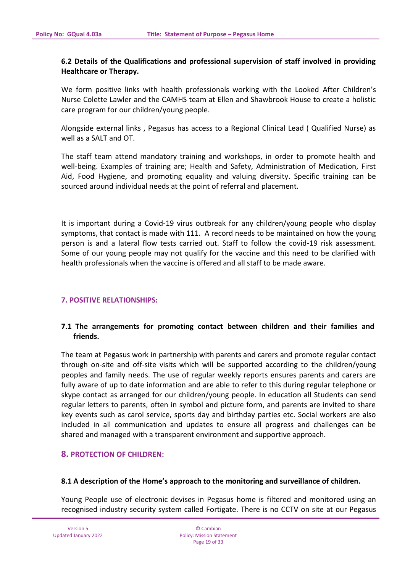## **6.2 Details of the Qualifications and professional supervision of staff involved in providing Healthcare or Therapy.**

We form positive links with health professionals working with the Looked After Children's Nurse Colette Lawler and the CAMHS team at Ellen and Shawbrook House to create a holistic care program for our children/young people.

Alongside external links , Pegasus has access to a Regional Clinical Lead ( Qualified Nurse) as well as a SALT and OT.

The staff team attend mandatory training and workshops, in order to promote health and well-being. Examples of training are; Health and Safety, Administration of Medication, First Aid, Food Hygiene, and promoting equality and valuing diversity. Specific training can be sourced around individual needs at the point of referral and placement.

It is important during a Covid-19 virus outbreak for any children/young people who display symptoms, that contact is made with 111. A record needs to be maintained on how the young person is and a lateral flow tests carried out. Staff to follow the covid-19 risk assessment. Some of our young people may not qualify for the vaccine and this need to be clarified with health professionals when the vaccine is offered and all staff to be made aware.

### **7. POSITIVE RELATIONSHIPS:**

# **7.1 The arrangements for promoting contact between children and their families and friends.**

The team at Pegasus work in partnership with parents and carers and promote regular contact through on-site and off-site visits which will be supported according to the children/young peoples and family needs. The use of regular weekly reports ensures parents and carers are fully aware of up to date information and are able to refer to this during regular telephone or skype contact as arranged for our children/young people. In education all Students can send regular letters to parents, often in symbol and picture form, and parents are invited to share key events such as carol service, sports day and birthday parties etc. Social workers are also included in all communication and updates to ensure all progress and challenges can be shared and managed with a transparent environment and supportive approach.

### **8. PROTECTION OF CHILDREN:**

#### **8.1 A description of the Home's approach to the monitoring and surveillance of children.**

Young People use of electronic devises in Pegasus home is filtered and monitored using an recognised industry security system called Fortigate. There is no CCTV on site at our Pegasus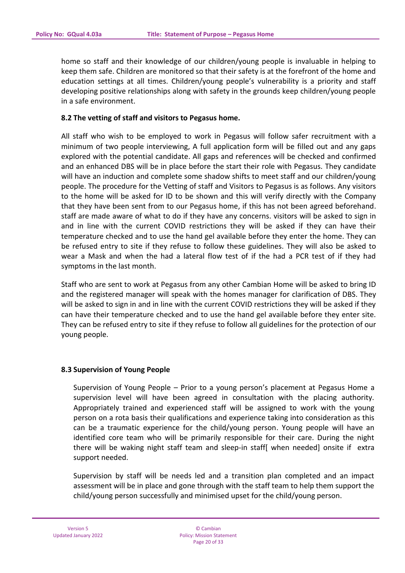home so staff and their knowledge of our children/young people is invaluable in helping to keep them safe. Children are monitored so that their safety is at the forefront of the home and education settings at all times. Children/young people's vulnerability is a priority and staff developing positive relationships along with safety in the grounds keep children/young people in a safe environment.

### **8.2 The vetting of staff and visitors to Pegasus home.**

All staff who wish to be employed to work in Pegasus will follow safer recruitment with a minimum of two people interviewing, A full application form will be filled out and any gaps explored with the potential candidate. All gaps and references will be checked and confirmed and an enhanced DBS will be in place before the start their role with Pegasus. They candidate will have an induction and complete some shadow shifts to meet staff and our children/young people. The procedure for the Vetting of staff and Visitors to Pegasus is as follows. Any visitors to the home will be asked for ID to be shown and this will verify directly with the Company that they have been sent from to our Pegasus home, if this has not been agreed beforehand. staff are made aware of what to do if they have any concerns. visitors will be asked to sign in and in line with the current COVID restrictions they will be asked if they can have their temperature checked and to use the hand gel available before they enter the home. They can be refused entry to site if they refuse to follow these guidelines. They will also be asked to wear a Mask and when the had a lateral flow test of if the had a PCR test of if they had symptoms in the last month.

Staff who are sent to work at Pegasus from any other Cambian Home will be asked to bring ID and the registered manager will speak with the homes manager for clarification of DBS. They will be asked to sign in and in line with the current COVID restrictions they will be asked if they can have their temperature checked and to use the hand gel available before they enter site. They can be refused entry to site if they refuse to follow all guidelines for the protection of our young people.

### **8.3 Supervision of Young People**

Supervision of Young People – Prior to a young person's placement at Pegasus Home a supervision level will have been agreed in consultation with the placing authority. Appropriately trained and experienced staff will be assigned to work with the young person on a rota basis their qualifications and experience taking into consideration as this can be a traumatic experience for the child/young person. Young people will have an identified core team who will be primarily responsible for their care. During the night there will be waking night staff team and sleep-in staff[ when needed] onsite if extra support needed.

Supervision by staff will be needs led and a transition plan completed and an impact assessment will be in place and gone through with the staff team to help them support the child/young person successfully and minimised upset for the child/young person.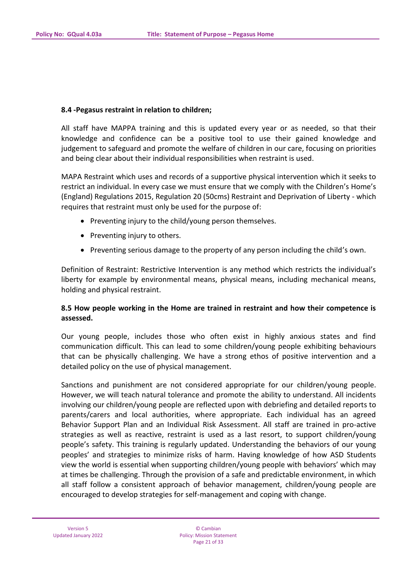### **8.4 -Pegasus restraint in relation to children;**

All staff have MAPPA training and this is updated every year or as needed, so that their knowledge and confidence can be a positive tool to use their gained knowledge and judgement to safeguard and promote the welfare of children in our care, focusing on priorities and being clear about their individual responsibilities when restraint is used.

MAPA Restraint which uses and records of a supportive physical intervention which it seeks to restrict an individual. In every case we must ensure that we comply with the Children's Home's (England) Regulations 2015, Regulation 20 (50cms) Restraint and Deprivation of Liberty - which requires that restraint must only be used for the purpose of:

- Preventing injury to the child/young person themselves.
- Preventing injury to others.
- Preventing serious damage to the property of any person including the child's own.

Definition of Restraint: Restrictive Intervention is any method which restricts the individual's liberty for example by environmental means, physical means, including mechanical means, holding and physical restraint.

# **8.5 How people working in the Home are trained in restraint and how their competence is assessed.**

Our young people, includes those who often exist in highly anxious states and find communication difficult. This can lead to some children/young people exhibiting behaviours that can be physically challenging. We have a strong ethos of positive intervention and a detailed policy on the use of physical management.

Sanctions and punishment are not considered appropriate for our children/young people. However, we will teach natural tolerance and promote the ability to understand. All incidents involving our children/young people are reflected upon with debriefing and detailed reports to parents/carers and local authorities, where appropriate. Each individual has an agreed Behavior Support Plan and an Individual Risk Assessment. All staff are trained in pro-active strategies as well as reactive, restraint is used as a last resort, to support children/young people's safety. This training is regularly updated. Understanding the behaviors of our young peoples' and strategies to minimize risks of harm. Having knowledge of how ASD Students view the world is essential when supporting children/young people with behaviors' which may at times be challenging. Through the provision of a safe and predictable environment, in which all staff follow a consistent approach of behavior management, children/young people are encouraged to develop strategies for self-management and coping with change.

© Cambian Policy: Mission Statement Page 21 of 33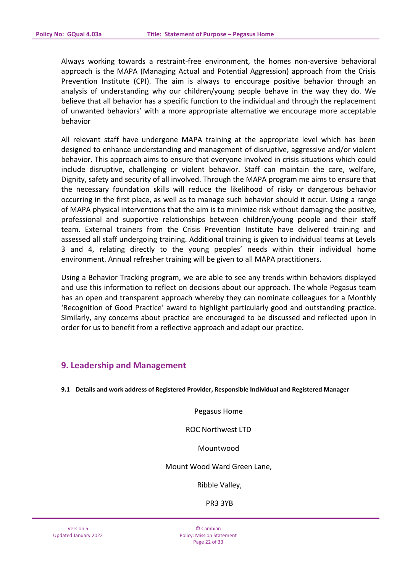Always working towards a restraint-free environment, the homes non-aversive behavioral approach is the MAPA (Managing Actual and Potential Aggression) approach from the Crisis Prevention Institute (CPI). The aim is always to encourage positive behavior through an analysis of understanding why our children/young people behave in the way they do. We believe that all behavior has a specific function to the individual and through the replacement of unwanted behaviors' with a more appropriate alternative we encourage more acceptable behavior

All relevant staff have undergone MAPA training at the appropriate level which has been designed to enhance understanding and management of disruptive, aggressive and/or violent behavior. This approach aims to ensure that everyone involved in crisis situations which could include disruptive, challenging or violent behavior. Staff can maintain the care, welfare, Dignity, safety and security of all involved. Through the MAPA program me aims to ensure that the necessary foundation skills will reduce the likelihood of risky or dangerous behavior occurring in the first place, as well as to manage such behavior should it occur. Using a range of MAPA physical interventions that the aim is to minimize risk without damaging the positive, professional and supportive relationships between children/young people and their staff team. External trainers from the Crisis Prevention Institute have delivered training and assessed all staff undergoing training. Additional training is given to individual teams at Levels 3 and 4, relating directly to the young peoples' needs within their individual home environment. Annual refresher training will be given to all MAPA practitioners.

Using a Behavior Tracking program, we are able to see any trends within behaviors displayed and use this information to reflect on decisions about our approach. The whole Pegasus team has an open and transparent approach whereby they can nominate colleagues for a Monthly 'Recognition of Good Practice' award to highlight particularly good and outstanding practice. Similarly, any concerns about practice are encouraged to be discussed and reflected upon in order for us to benefit from a reflective approach and adapt our practice.

# **9. Leadership and Management**

**9.1 Details and work address of Registered Provider, Responsible Individual and Registered Manager** 

Pegasus Home

ROC Northwest LTD

Mountwood

Mount Wood Ward Green Lane,

Ribble Valley,

PR3 3YB

© Cambian Policy: Mission Statement Page 22 of 33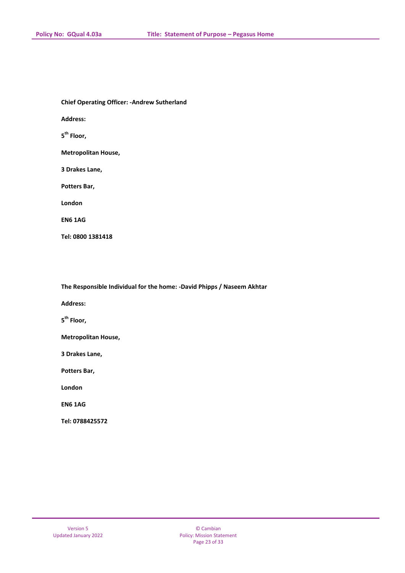**Chief Operating Officer: -Andrew Sutherland** 

**Address:** 

**5 th Floor,**

**Metropolitan House,**

**3 Drakes Lane,**

**Potters Bar,**

**London**

**EN6 1AG**

**Tel: 0800 1381418**

**The Responsible Individual for the home: -David Phipps / Naseem Akhtar**

**Address:** 

**5 th Floor,**

**Metropolitan House,**

**3 Drakes Lane,**

**Potters Bar,**

**London**

**EN6 1AG**

**Tel: 0788425572**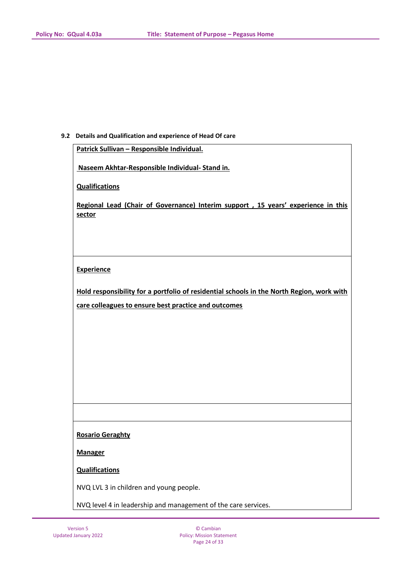#### **9.2 Details and Qualification and experience of Head Of care**

**Patrick Sullivan – Responsible Individual.**

**Naseem Akhtar-Responsible Individual- Stand in.**

**Qualifications** 

**Regional Lead (Chair of Governance) Interim support , 15 years' experience in this sector** 

#### **Experience**

**Hold responsibility for a portfolio of residential schools in the North Region, work with care colleagues to ensure best practice and outcomes** 

#### **Rosario Geraghty**

**Manager**

**Qualifications** 

NVQ LVL 3 in children and young people.

NVQ level 4 in leadership and management of the care services.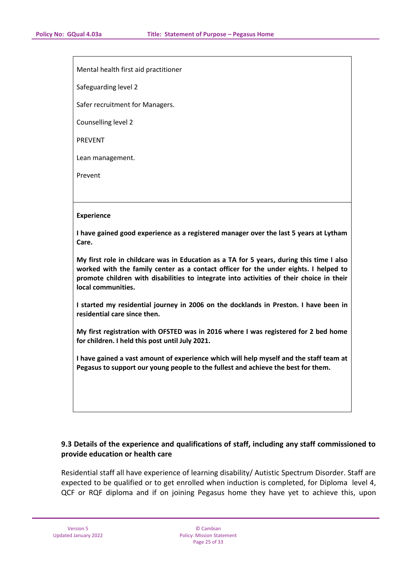Mental health first aid practitioner

Safeguarding level 2

Safer recruitment for Managers.

Counselling level 2

PREVENT

Lean management.

Prevent

#### **Experience**

**I have gained good experience as a registered manager over the last 5 years at Lytham Care.**

**My first role in childcare was in Education as a TA for 5 years, during this time I also worked with the family center as a contact officer for the under eights. I helped to promote children with disabilities to integrate into activities of their choice in their local communities.**

**I started my residential journey in 2006 on the docklands in Preston. I have been in residential care since then.**

**My first registration with OFSTED was in 2016 where I was registered for 2 bed home for children. I held this post until July 2021.**

**I have gained a vast amount of experience which will help myself and the staff team at Pegasus to support our young people to the fullest and achieve the best for them.**

# **9.3 Details of the experience and qualifications of staff, including any staff commissioned to provide education or health care**

Residential staff all have experience of learning disability/ Autistic Spectrum Disorder. Staff are expected to be qualified or to get enrolled when induction is completed, for Diploma level 4, QCF or RQF diploma and if on joining Pegasus home they have yet to achieve this, upon

© Cambian Policy: Mission Statement Page 25 of 33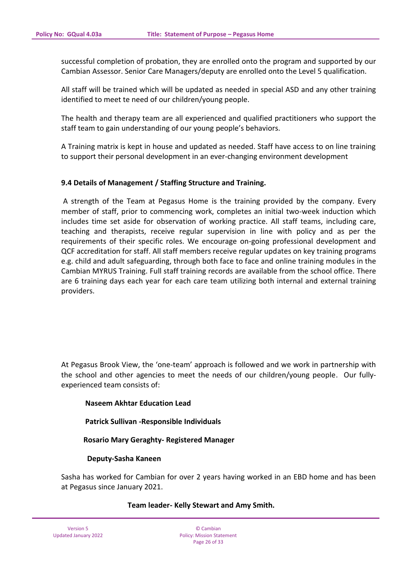successful completion of probation, they are enrolled onto the program and supported by our Cambian Assessor. Senior Care Managers/deputy are enrolled onto the Level 5 qualification.

All staff will be trained which will be updated as needed in special ASD and any other training identified to meet te need of our children/young people.

The health and therapy team are all experienced and qualified practitioners who support the staff team to gain understanding of our young people's behaviors.

A Training matrix is kept in house and updated as needed. Staff have access to on line training to support their personal development in an ever-changing environment development

### **9.4 Details of Management / Staffing Structure and Training.**

A strength of the Team at Pegasus Home is the training provided by the company. Every member of staff, prior to commencing work, completes an initial two-week induction which includes time set aside for observation of working practice. All staff teams, including care, teaching and therapists, receive regular supervision in line with policy and as per the requirements of their specific roles. We encourage on-going professional development and QCF accreditation for staff. All staff members receive regular updates on key training programs e.g. child and adult safeguarding, through both face to face and online training modules in the Cambian MYRUS Training. Full staff training records are available from the school office. There are 6 training days each year for each care team utilizing both internal and external training providers.

At Pegasus Brook View, the 'one-team' approach is followed and we work in partnership with the school and other agencies to meet the needs of our children/young people. Our fullyexperienced team consists of:

### **Naseem Akhtar Education Lead**

 **Patrick Sullivan -Responsible Individuals**

 **Rosario Mary Geraghty- Registered Manager**

### **Deputy-Sasha Kaneen**

Sasha has worked for Cambian for over 2 years having worked in an EBD home and has been at Pegasus since January 2021.

### **Team leader- Kelly Stewart and Amy Smith.**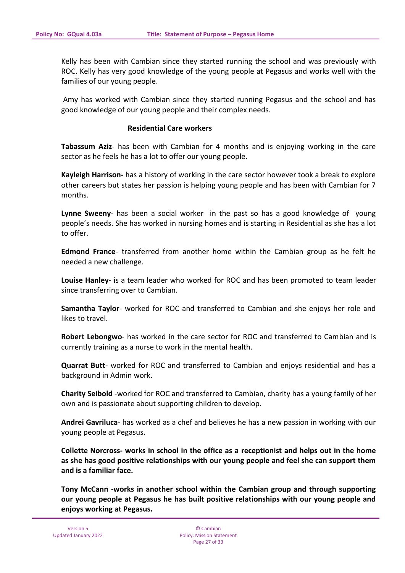Kelly has been with Cambian since they started running the school and was previously with ROC. Kelly has very good knowledge of the young people at Pegasus and works well with the families of our young people.

Amy has worked with Cambian since they started running Pegasus and the school and has good knowledge of our young people and their complex needs.

#### **Residential Care workers**

**Tabassum Aziz**- has been with Cambian for 4 months and is enjoying working in the care sector as he feels he has a lot to offer our young people.

**Kayleigh Harrison-** has a history of working in the care sector however took a break to explore other careers but states her passion is helping young people and has been with Cambian for 7 months.

**Lynne Sweeny**- has been a social worker in the past so has a good knowledge of young people's needs. She has worked in nursing homes and is starting in Residential as she has a lot to offer.

**Edmond France**- transferred from another home within the Cambian group as he felt he needed a new challenge.

**Louise Hanley**- is a team leader who worked for ROC and has been promoted to team leader since transferring over to Cambian.

**Samantha Taylor**- worked for ROC and transferred to Cambian and she enjoys her role and likes to travel.

**Robert Lebongwo**- has worked in the care sector for ROC and transferred to Cambian and is currently training as a nurse to work in the mental health.

**Quarrat Butt**- worked for ROC and transferred to Cambian and enjoys residential and has a background in Admin work.

**Charity Seibold** -worked for ROC and transferred to Cambian, charity has a young family of her own and is passionate about supporting children to develop.

**Andrei Gavriluca**- has worked as a chef and believes he has a new passion in working with our young people at Pegasus.

**Collette Norcross- works in school in the office as a receptionist and helps out in the home as she has good positive relationships with our young people and feel she can support them and is a familiar face.**

**Tony McCann -works in another school within the Cambian group and through supporting our young people at Pegasus he has built positive relationships with our young people and enjoys working at Pegasus.**

© Cambian Policy: Mission Statement Page 27 of 33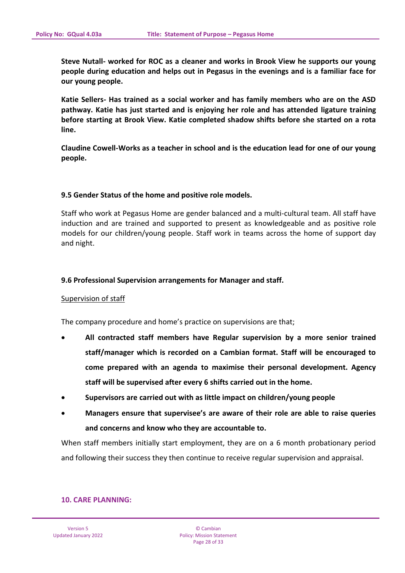**Steve Nutall- worked for ROC as a cleaner and works in Brook View he supports our young people during education and helps out in Pegasus in the evenings and is a familiar face for our young people.**

**Katie Sellers- Has trained as a social worker and has family members who are on the ASD pathway. Katie has just started and is enjoying her role and has attended ligature training before starting at Brook View. Katie completed shadow shifts before she started on a rota line.**

**Claudine Cowell-Works as a teacher in school and is the education lead for one of our young people.**

#### **9.5 Gender Status of the home and positive role models.**

Staff who work at Pegasus Home are gender balanced and a multi-cultural team. All staff have induction and are trained and supported to present as knowledgeable and as positive role models for our children/young people. Staff work in teams across the home of support day and night.

#### **9.6 Professional Supervision arrangements for Manager and staff.**

#### Supervision of staff

The company procedure and home's practice on supervisions are that;

- **All contracted staff members have Regular supervision by a more senior trained staff/manager which is recorded on a Cambian format. Staff will be encouraged to come prepared with an agenda to maximise their personal development. Agency staff will be supervised after every 6 shifts carried out in the home.**
- **Supervisors are carried out with as little impact on children/young people**
- **Managers ensure that supervisee's are aware of their role are able to raise queries and concerns and know who they are accountable to.**

When staff members initially start employment, they are on a 6 month probationary period and following their success they then continue to receive regular supervision and appraisal.

#### **10. CARE PLANNING:**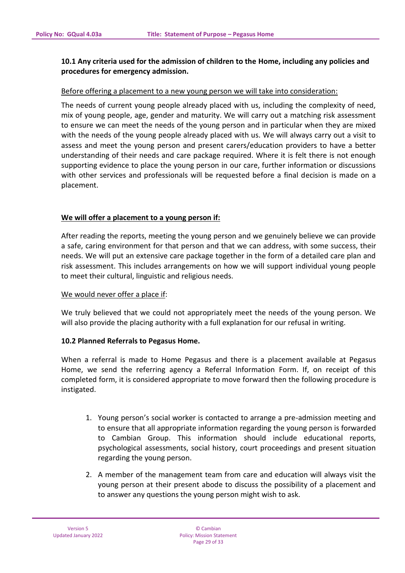# **10.1 Any criteria used for the admission of children to the Home, including any policies and procedures for emergency admission.**

### Before offering a placement to a new young person we will take into consideration:

The needs of current young people already placed with us, including the complexity of need, mix of young people, age, gender and maturity. We will carry out a matching risk assessment to ensure we can meet the needs of the young person and in particular when they are mixed with the needs of the young people already placed with us. We will always carry out a visit to assess and meet the young person and present carers/education providers to have a better understanding of their needs and care package required. Where it is felt there is not enough supporting evidence to place the young person in our care, further information or discussions with other services and professionals will be requested before a final decision is made on a placement.

# **We will offer a placement to a young person if:**

After reading the reports, meeting the young person and we genuinely believe we can provide a safe, caring environment for that person and that we can address, with some success, their needs. We will put an extensive care package together in the form of a detailed care plan and risk assessment. This includes arrangements on how we will support individual young people to meet their cultural, linguistic and religious needs.

### We would never offer a place if:

We truly believed that we could not appropriately meet the needs of the young person. We will also provide the placing authority with a full explanation for our refusal in writing.

### **10.2 Planned Referrals to Pegasus Home.**

When a referral is made to Home Pegasus and there is a placement available at Pegasus Home, we send the referring agency a Referral Information Form. If, on receipt of this completed form, it is considered appropriate to move forward then the following procedure is instigated.

- 1. Young person's social worker is contacted to arrange a pre-admission meeting and to ensure that all appropriate information regarding the young person is forwarded to Cambian Group. This information should include educational reports, psychological assessments, social history, court proceedings and present situation regarding the young person.
- 2. A member of the management team from care and education will always visit the young person at their present abode to discuss the possibility of a placement and to answer any questions the young person might wish to ask.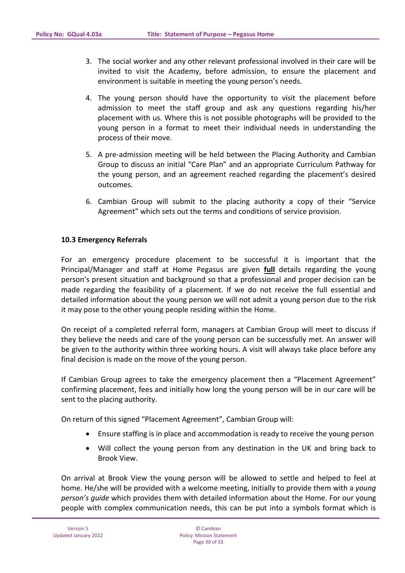- 3. The social worker and any other relevant professional involved in their care will be invited to visit the Academy, before admission, to ensure the placement and environment is suitable in meeting the young person's needs.
- 4. The young person should have the opportunity to visit the placement before admission to meet the staff group and ask any questions regarding his/her placement with us. Where this is not possible photographs will be provided to the young person in a format to meet their individual needs in understanding the process of their move.
- 5. A pre-admission meeting will be held between the Placing Authority and Cambian Group to discuss an initial "Care Plan" and an appropriate Curriculum Pathway for the young person, and an agreement reached regarding the placement's desired outcomes.
- 6. Cambian Group will submit to the placing authority a copy of their "Service Agreement" which sets out the terms and conditions of service provision.

### **10.3 Emergency Referrals**

For an emergency procedure placement to be successful it is important that the Principal/Manager and staff at Home Pegasus are given **full** details regarding the young person's present situation and background so that a professional and proper decision can be made regarding the feasibility of a placement. If we do not receive the full essential and detailed information about the young person we will not admit a young person due to the risk it may pose to the other young people residing within the Home.

On receipt of a completed referral form, managers at Cambian Group will meet to discuss if they believe the needs and care of the young person can be successfully met. An answer will be given to the authority within three working hours. A visit will always take place before any final decision is made on the move of the young person.

If Cambian Group agrees to take the emergency placement then a "Placement Agreement" confirming placement, fees and initially how long the young person will be in our care will be sent to the placing authority.

On return of this signed "Placement Agreement", Cambian Group will:

- Ensure staffing is in place and accommodation is ready to receive the young person
- Will collect the young person from any destination in the UK and bring back to Brook View.

On arrival at Brook View the young person will be allowed to settle and helped to feel at home. He/she will be provided with a welcome meeting, initially to provide them with a *young person's guide* which provides them with detailed information about the Home. For our young people with complex communication needs, this can be put into a symbols format which is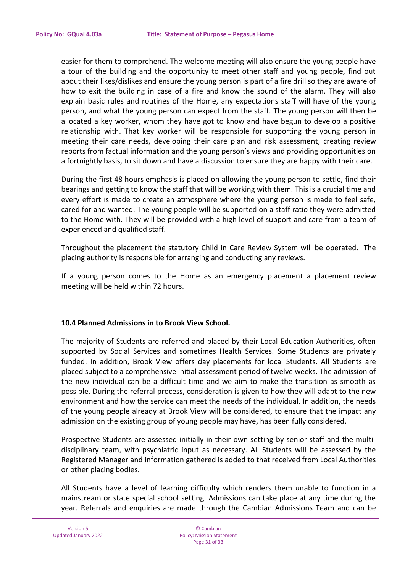easier for them to comprehend. The welcome meeting will also ensure the young people have a tour of the building and the opportunity to meet other staff and young people, find out about their likes/dislikes and ensure the young person is part of a fire drill so they are aware of how to exit the building in case of a fire and know the sound of the alarm. They will also explain basic rules and routines of the Home, any expectations staff will have of the young person, and what the young person can expect from the staff. The young person will then be allocated a key worker, whom they have got to know and have begun to develop a positive relationship with. That key worker will be responsible for supporting the young person in meeting their care needs, developing their care plan and risk assessment, creating review reports from factual information and the young person's views and providing opportunities on a fortnightly basis, to sit down and have a discussion to ensure they are happy with their care.

During the first 48 hours emphasis is placed on allowing the young person to settle, find their bearings and getting to know the staff that will be working with them. This is a crucial time and every effort is made to create an atmosphere where the young person is made to feel safe, cared for and wanted. The young people will be supported on a staff ratio they were admitted to the Home with. They will be provided with a high level of support and care from a team of experienced and qualified staff.

Throughout the placement the statutory Child in Care Review System will be operated. The placing authority is responsible for arranging and conducting any reviews.

If a young person comes to the Home as an emergency placement a placement review meeting will be held within 72 hours.

### **10.4 Planned Admissions in to Brook View School.**

The majority of Students are referred and placed by their Local Education Authorities, often supported by Social Services and sometimes Health Services. Some Students are privately funded. In addition, Brook View offers day placements for local Students. All Students are placed subject to a comprehensive initial assessment period of twelve weeks. The admission of the new individual can be a difficult time and we aim to make the transition as smooth as possible. During the referral process, consideration is given to how they will adapt to the new environment and how the service can meet the needs of the individual. In addition, the needs of the young people already at Brook View will be considered, to ensure that the impact any admission on the existing group of young people may have, has been fully considered.

Prospective Students are assessed initially in their own setting by senior staff and the multidisciplinary team, with psychiatric input as necessary. All Students will be assessed by the Registered Manager and information gathered is added to that received from Local Authorities or other placing bodies.

All Students have a level of learning difficulty which renders them unable to function in a mainstream or state special school setting. Admissions can take place at any time during the year. Referrals and enquiries are made through the Cambian Admissions Team and can be

© Cambian Policy: Mission Statement Page 31 of 33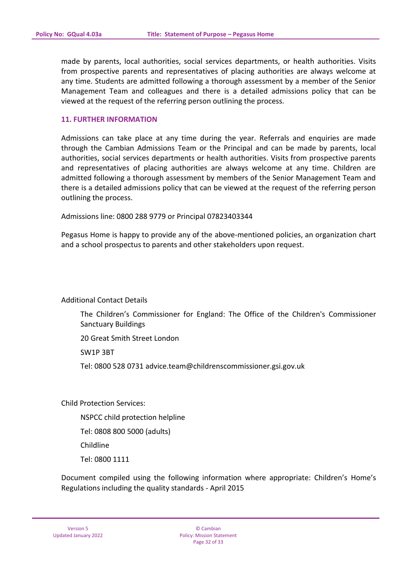made by parents, local authorities, social services departments, or health authorities. Visits from prospective parents and representatives of placing authorities are always welcome at any time. Students are admitted following a thorough assessment by a member of the Senior Management Team and colleagues and there is a detailed admissions policy that can be viewed at the request of the referring person outlining the process.

#### **11. FURTHER INFORMATION**

Admissions can take place at any time during the year. Referrals and enquiries are made through the Cambian Admissions Team or the Principal and can be made by parents, local authorities, social services departments or health authorities. Visits from prospective parents and representatives of placing authorities are always welcome at any time. Children are admitted following a thorough assessment by members of the Senior Management Team and there is a detailed admissions policy that can be viewed at the request of the referring person outlining the process.

Admissions line: 0800 288 9779 or Principal 07823403344

Pegasus Home is happy to provide any of the above-mentioned policies, an organization chart and a school prospectus to parents and other stakeholders upon request.

Additional Contact Details

The Children's Commissioner for England: The Office of the Children's Commissioner Sanctuary Buildings

20 Great Smith Street London

SW1P 3BT

Tel: 0800 528 0731 advice.team@childrenscommissioner.gsi.gov.uk

Child Protection Services:

NSPCC child protection helpline

Tel: 0808 800 5000 (adults)

Childline

Tel: 0800 1111

Document compiled using the following information where appropriate: Children's Home's Regulations including the quality standards - April 2015

© Cambian Policy: Mission Statement Page 32 of 33